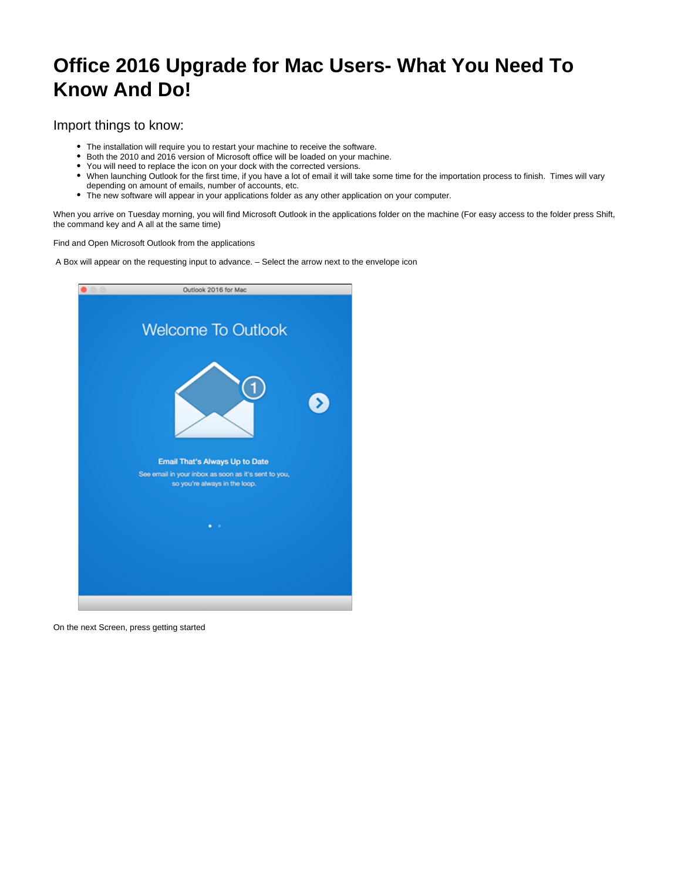## **Office 2016 Upgrade for Mac Users- What You Need To Know And Do!**

## Import things to know:

- The installation will require you to restart your machine to receive the software.
- Both the 2010 and 2016 version of Microsoft office will be loaded on your machine.
- You will need to replace the icon on your dock with the corrected versions.
- When launching Outlook for the first time, if you have a lot of email it will take some time for the importation process to finish. Times will vary depending on amount of emails, number of accounts, etc.
- The new software will appear in your applications folder as any other application on your computer.

When you arrive on Tuesday morning, you will find Microsoft Outlook in the applications folder on the machine (For easy access to the folder press Shift, the command key and A all at the same time)

Find and Open Microsoft Outlook from the applications

A Box will appear on the requesting input to advance. – Select the arrow next to the envelope icon



On the next Screen, press getting started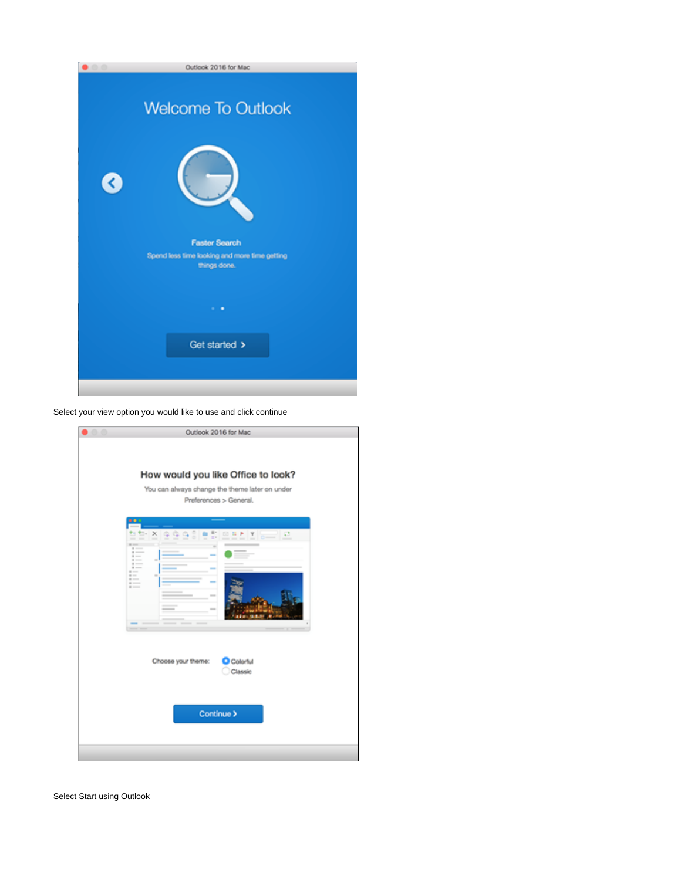|   | Outlook 2016 for Mac                                          |
|---|---------------------------------------------------------------|
|   | <b>Welcome To Outlook</b>                                     |
| ∢ |                                                               |
|   | <b>Faster Search</b>                                          |
|   | Spend less time looking and more time getting<br>things done. |
|   |                                                               |
|   | $\cdots$                                                      |
|   | Get started >                                                 |
|   |                                                               |
|   |                                                               |

Select your view option you would like to use and click continue

| Outlook 2016 for Mac                                                                                                                                                                                  |
|-------------------------------------------------------------------------------------------------------------------------------------------------------------------------------------------------------|
| How would you like Office to look?<br>You can always change the theme later on under<br>Preferences > General.                                                                                        |
| . .<br>$\mathbb{R}$ -<br>×<br>00 N P<br>ø<br>Ϋ<br>m.<br>$\equiv$<br><br>$-1 - 1 - 1 = 0$<br><br>$\frac{1}{2}$<br>٠<br>$\cdots$<br>$+ -$<br>$+ -$<br>$\sim$<br>۰<br>$= -$<br>$= -$<br>$= -1$<br>$\sim$ |
| Choose your theme:<br>Colorful<br>Classic                                                                                                                                                             |
| Continue >                                                                                                                                                                                            |
|                                                                                                                                                                                                       |

Select Start using Outlook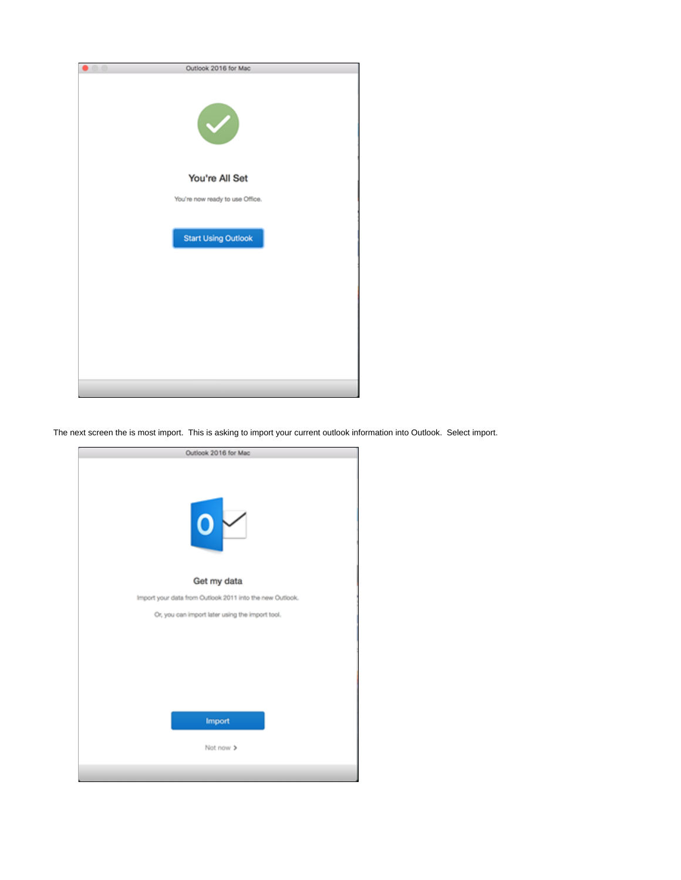

The next screen the is most import. This is asking to import your current outlook information into Outlook. Select import.

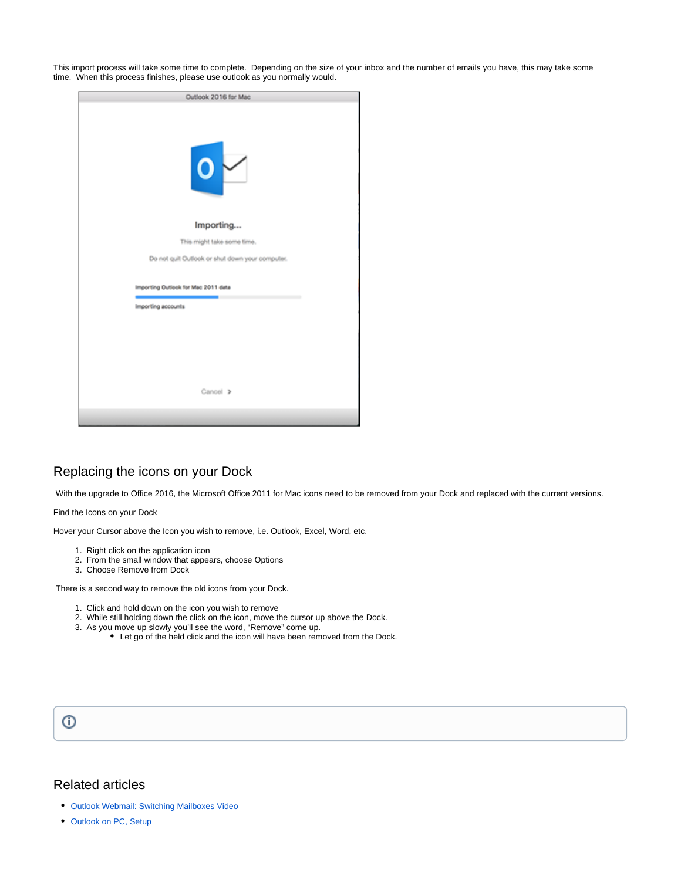This import process will take some time to complete. Depending on the size of your inbox and the number of emails you have, this may take some time. When this process finishes, please use outlook as you normally would.

| Outlook 2016 for Mac                            |  |  |
|-------------------------------------------------|--|--|
| $\circ$                                         |  |  |
| Importing                                       |  |  |
| This might take some time.                      |  |  |
| Do not quit Outlook or shut down your computer. |  |  |
| Importing Outlook for Mac 2011 data             |  |  |
| Importing accounts                              |  |  |
|                                                 |  |  |
|                                                 |  |  |
|                                                 |  |  |
|                                                 |  |  |
| Cancel >                                        |  |  |
|                                                 |  |  |

## Replacing the icons on your Dock

With the upgrade to Office 2016, the Microsoft Office 2011 for Mac icons need to be removed from your Dock and replaced with the current versions.

Find the Icons on your Dock

Hover your Cursor above the Icon you wish to remove, i.e. Outlook, Excel, Word, etc.

- 1. Right click on the application icon
- 2. From the small window that appears, choose Options
- 3. Choose Remove from Dock

There is a second way to remove the old icons from your Dock.

- 1. Click and hold down on the icon you wish to remove
- 2. While still holding down the click on the icon, move the cursor up above the Dock.
- 3. As you move up slowly you'll see the word, "Remove" come up.
	- Let go of the held click and the icon will have been removed from the Dock.



## Related articles

- [Outlook Webmail: Switching Mailboxes Video](https://confluence.ptsem.edu/display/ITSKnowledge/Outlook+Webmail%3A+Switching+Mailboxes+Video)
- [Outlook on PC, Setup](https://confluence.ptsem.edu/display/ITSKnowledge/Outlook+on+PC%2C+Setup)